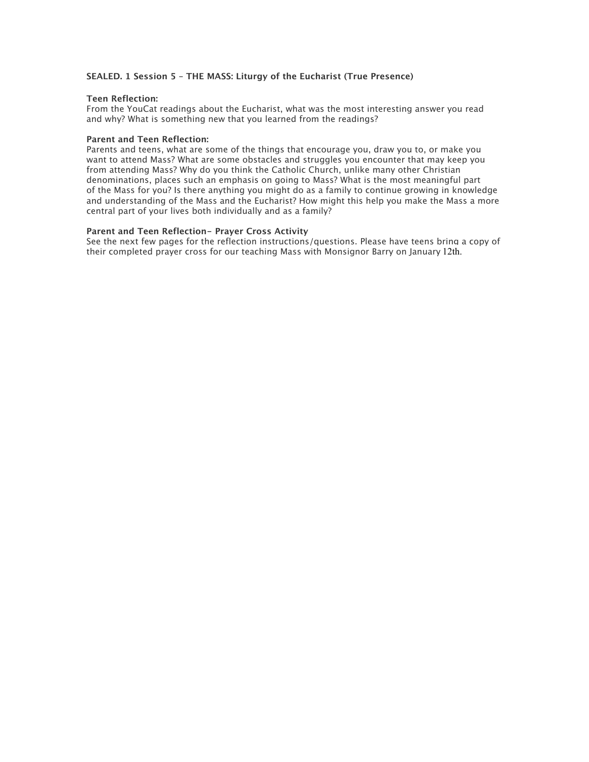### **SEALED. 1 Session 5 – THE MASS: Liturgy of the Eucharist (True Presence)**

### **Teen Reflection:**

From the YouCat readings about the Eucharist, what was the most interesting answer you read and why? What is something new that you learned from the readings?

### **Parent and Teen Reflection:**

Parents and teens, what are some of the things that encourage you, draw you to, or make you want to attend Mass? What are some obstacles and struggles you encounter that may keep you from attending Mass? Why do you think the Catholic Church, unlike many other Christian denominations, places such an emphasis on going to Mass? What is the most meaningful part of the Mass for you? Is there anything you might do as a family to continue growing in knowledge and understanding of the Mass and the Eucharist? How might this help you make the Mass a more central part of your lives both individually and as a family?

### **Parent and Teen Reflection- Prayer Cross Activity**

See the next few pages for the reflection instructions/questions. Please have teens bring a copy of their completed prayer cross for our teaching Mass with Monsignor Barry on January 12th.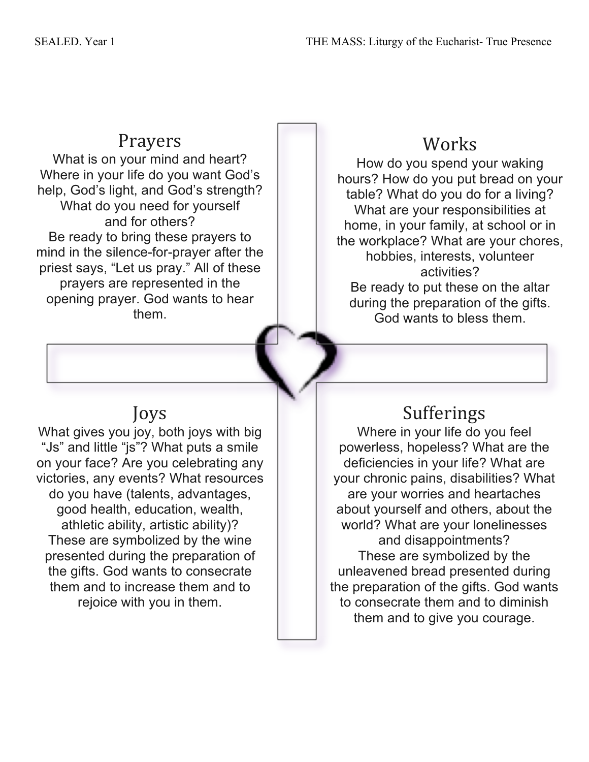### Prayers

What is on your mind and heart? Where in your life do you want God's help, God's light, and God's strength? What do you need for yourself and for others? Be ready to bring these prayers to mind in the silence-for-prayer after the priest says, "Let us pray." All of these prayers are represented in the opening prayer. God wants to hear them.

# Joys

What gives you joy, both joys with big "Js" and little "js"? What puts a smile on your face? Are you celebrating any victories, any events? What resources do you have (talents, advantages, good health, education, wealth, athletic ability, artistic ability)? These are symbolized by the wine presented during the preparation of the gifts. God wants to consecrate them and to increase them and to rejoice with you in them.

# Works

How do you spend your waking hours? How do you put bread on your table? What do you do for a living? What are your responsibilities at home, in your family, at school or in the workplace? What are your chores, hobbies, interests, volunteer activities? Be ready to put these on the altar during the preparation of the gifts. God wants to bless them.

# Sufferings

Where in your life do you feel powerless, hopeless? What are the deficiencies in your life? What are your chronic pains, disabilities? What are your worries and heartaches about yourself and others, about the world? What are your lonelinesses and disappointments? These are symbolized by the unleavened bread presented during the preparation of the gifts. God wants to consecrate them and to diminish them and to give you courage.